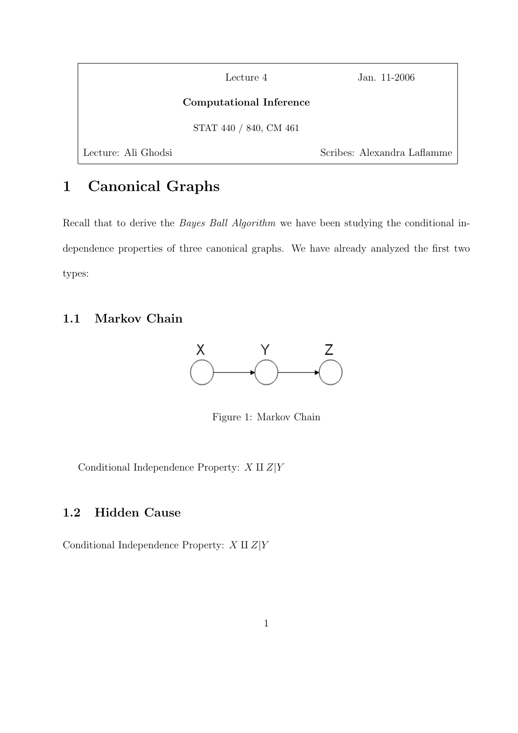|                     | Lecture 4               | Jan. 11-2006                |
|---------------------|-------------------------|-----------------------------|
|                     | Computational Inference |                             |
|                     | STAT 440 / 840, CM 461  |                             |
| Lecture: Ali Ghodsi |                         | Scribes: Alexandra Laflamme |

# 1 Canonical Graphs

Recall that to derive the *Bayes Ball Algorithm* we have been studying the conditional independence properties of three canonical graphs. We have already analyzed the first two types:

## 1.1 Markov Chain



Figure 1: Markov Chain

Conditional Independence Property:  $X\amalg Z|Y$ 

## 1.2 Hidden Cause

Conditional Independence Property:  $X \amalg Z|Y$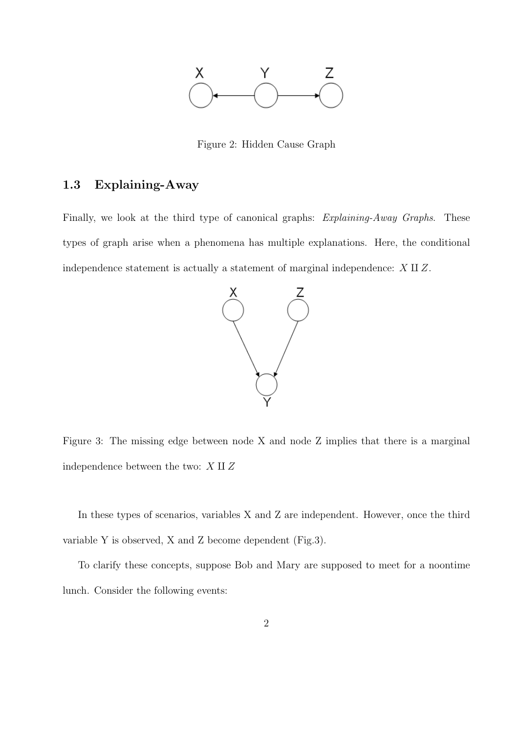

Figure 2: Hidden Cause Graph

### 1.3 Explaining-Away

Finally, we look at the third type of canonical graphs: Explaining-Away Graphs. These types of graph arise when a phenomena has multiple explanations. Here, the conditional independence statement is actually a statement of marginal independence:  $X \amalg Z$ .



Figure 3: The missing edge between node X and node Z implies that there is a marginal independence between the two:  $X \amalg Z$ 

In these types of scenarios, variables X and Z are independent. However, once the third variable Y is observed, X and Z become dependent (Fig.3).

To clarify these concepts, suppose Bob and Mary are supposed to meet for a noontime lunch. Consider the following events: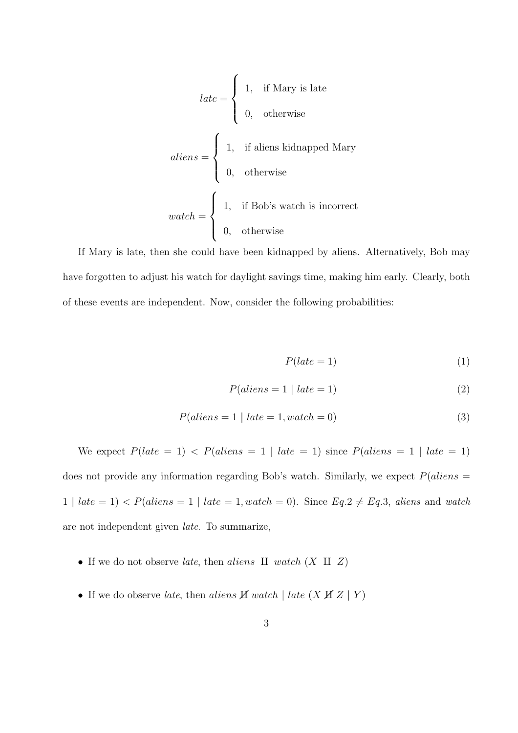$$
late = \begin{cases} 1, & \text{if Mary is late} \\ 0, & \text{otherwise} \end{cases}
$$
  
 
$$
aliens = \begin{cases} 1, & \text{if aliens kidnapped Mary} \\ 0, & \text{otherwise} \end{cases}
$$
  
 
$$
watch = \begin{cases} 1, & \text{if Bob's watch is incorrect} \\ 0, & \text{otherwise} \end{cases}
$$

If Mary is late, then she could have been kidnapped by aliens. Alternatively, Bob may have forgotten to adjust his watch for daylight savings time, making him early. Clearly, both of these events are independent. Now, consider the following probabilities:

$$
P(late = 1) \tag{1}
$$

$$
P(aliens = 1 | late = 1)
$$
\n<sup>(2)</sup>

$$
P(aliens = 1 | late = 1, watch = 0)
$$
\n
$$
(3)
$$

We expect  $P(late = 1)$  <  $P(aliens = 1 | late = 1)$  since  $P(aliens = 1 | late = 1)$ does not provide any information regarding Bob's watch. Similarly, we expect  $P(aliens =$ 1 | late = 1) < P(aliens = 1 | late = 1, watch = 0). Since  $Eq.2 \neq Eq.3$ , aliens and watch are not independent given late. To summarize,

- If we do not observe *late*, then *aliens*  $\amalg$  watch  $(X \amalg Z)$
- If we do observe *late*, then *aliens*  $\cancel{H}$  watch | *late* ( $\cancel{X}$   $\cancel{H}$   $\cancel{Z}$  |  $\cancel{Y}$ )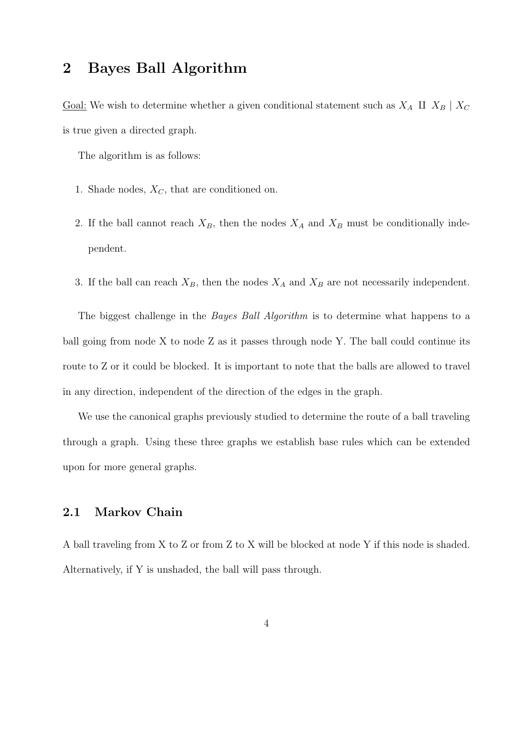## 2 Bayes Ball Algorithm

<u>Goal:</u> We wish to determine whether a given conditional statement such as  $X_A$  **II**  $X_B$  |  $X_C$ is true given a directed graph.

The algorithm is as follows:

- 1. Shade nodes,  $X_C$ , that are conditioned on.
- 2. If the ball cannot reach  $X_B$ , then the nodes  $X_A$  and  $X_B$  must be conditionally independent.
- 3. If the ball can reach  $X_B$ , then the nodes  $X_A$  and  $X_B$  are not necessarily independent.

The biggest challenge in the *Bayes Ball Algorithm* is to determine what happens to a ball going from node X to node Z as it passes through node Y. The ball could continue its route to Z or it could be blocked. It is important to note that the balls are allowed to travel in any direction, independent of the direction of the edges in the graph.

We use the canonical graphs previously studied to determine the route of a ball traveling through a graph. Using these three graphs we establish base rules which can be extended upon for more general graphs.

#### 2.1 Markov Chain

A ball traveling from X to Z or from Z to X will be blocked at node Y if this node is shaded. Alternatively, if Y is unshaded, the ball will pass through.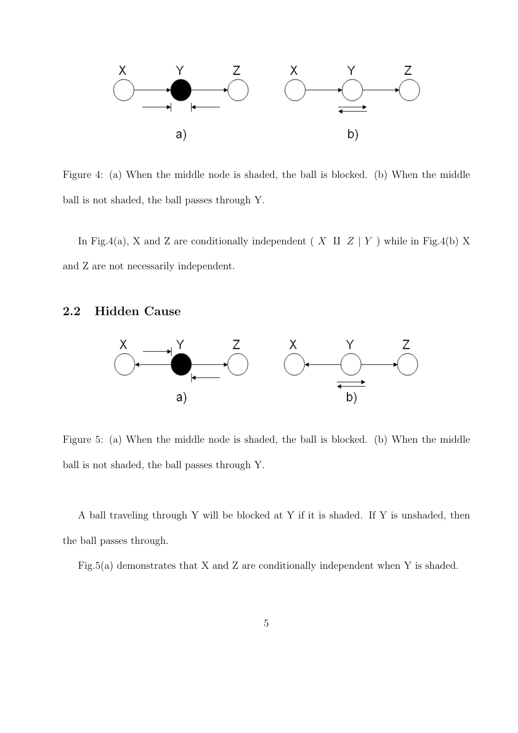

Figure 4: (a) When the middle node is shaded, the ball is blocked. (b) When the middle ball is not shaded, the ball passes through Y.

In Fig.4(a), X and Z are conditionally independent ( X  $\text{II}$  Z | Y ) while in Fig.4(b) X and Z are not necessarily independent.

### 2.2 Hidden Cause



Figure 5: (a) When the middle node is shaded, the ball is blocked. (b) When the middle ball is not shaded, the ball passes through Y.

A ball traveling through Y will be blocked at Y if it is shaded. If Y is unshaded, then the ball passes through.

Fig.5(a) demonstrates that X and Z are conditionally independent when Y is shaded.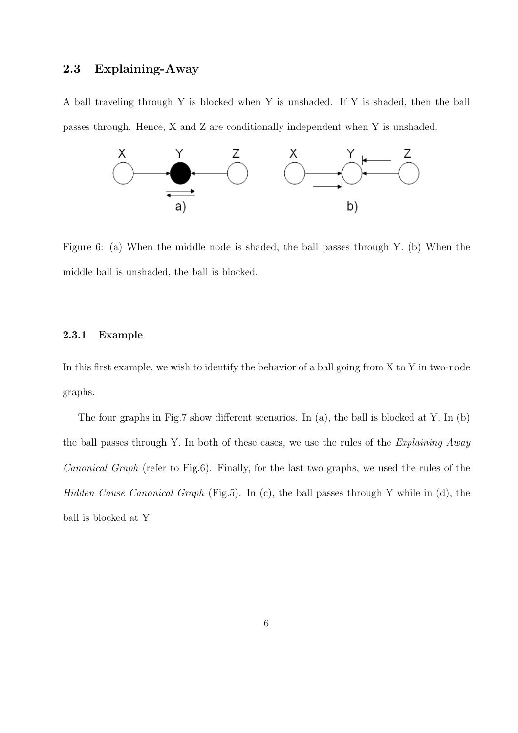### 2.3 Explaining-Away

A ball traveling through Y is blocked when Y is unshaded. If Y is shaded, then the ball passes through. Hence, X and Z are conditionally independent when Y is unshaded.



Figure 6: (a) When the middle node is shaded, the ball passes through Y. (b) When the middle ball is unshaded, the ball is blocked.

#### 2.3.1 Example

In this first example, we wish to identify the behavior of a ball going from X to Y in two-node graphs.

The four graphs in Fig.7 show different scenarios. In (a), the ball is blocked at Y. In (b) the ball passes through Y. In both of these cases, we use the rules of the Explaining Away Canonical Graph (refer to Fig.6). Finally, for the last two graphs, we used the rules of the Hidden Cause Canonical Graph (Fig.5). In (c), the ball passes through Y while in (d), the ball is blocked at Y.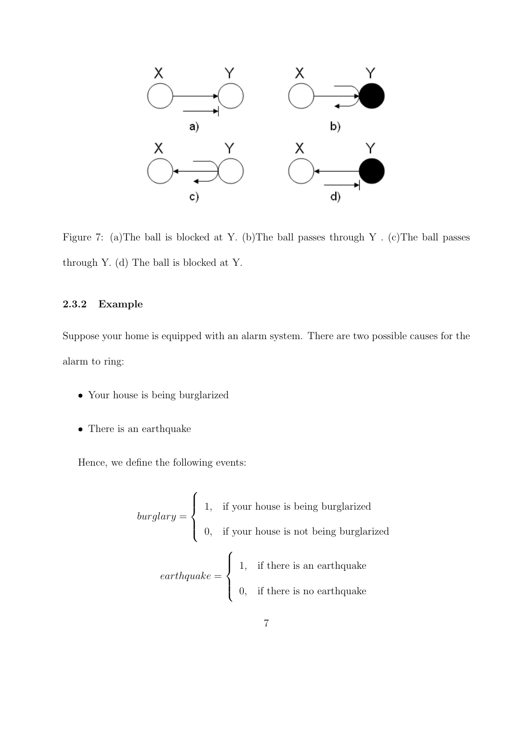

Figure 7: (a)The ball is blocked at Y. (b)The ball passes through Y . (c)The ball passes through Y. (d) The ball is blocked at Y.

#### 2.3.2 Example

Suppose your home is equipped with an alarm system. There are two possible causes for the alarm to ring:

- Your house is being burglarized
- There is an earthquake

Hence, we define the following events:

*burglary* =

\n
$$
\begin{cases}\n1, & \text{if your house is being burglarized} \\
0, & \text{if your house is not being burglarized} \\
0, & \text{if there is an earthquake} \\
0, & \text{if there is no earthquake}\n\end{cases}
$$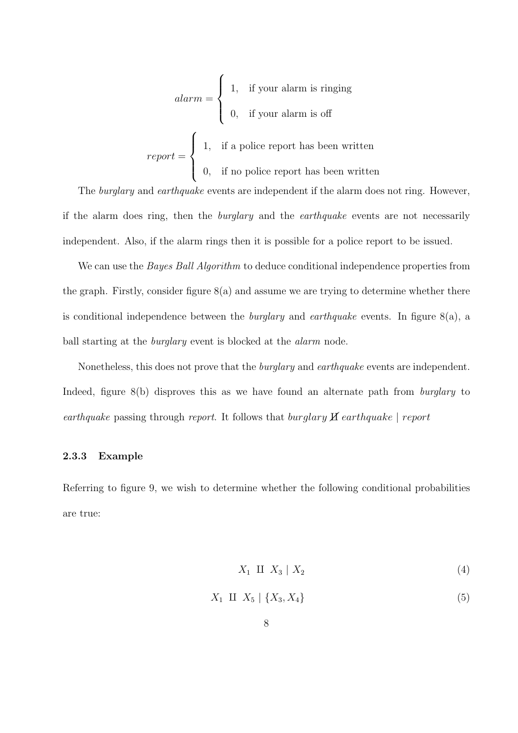$$
alarm = \begin{cases} 1, & \text{if your alarm is ringing} \\ 0, & \text{if your alarm is off} \end{cases}
$$
\n
$$
report = \begin{cases} 1, & \text{if a police report has been written} \\ 0, & \text{if no police report has been written} \end{cases}
$$

The *burglary* and *earthquake* events are independent if the alarm does not ring. However, if the alarm does ring, then the burglary and the earthquake events are not necessarily independent. Also, if the alarm rings then it is possible for a police report to be issued.

We can use the *Bayes Ball Algorithm* to deduce conditional independence properties from the graph. Firstly, consider figure 8(a) and assume we are trying to determine whether there is conditional independence between the *burglary* and *earthquake* events. In figure  $8(a)$ , a ball starting at the burglary event is blocked at the alarm node.

Nonetheless, this does not prove that the *burglary* and *earthquake* events are independent. Indeed, figure 8(b) disproves this as we have found an alternate path from *burglary* to earthquake passing through report. It follows that burglary  $\cancel{H}$  earthquake | report

#### 2.3.3 Example

Referring to figure 9, we wish to determine whether the following conditional probabilities are true:

$$
X_1 \amalg X_3 \mid X_2 \tag{4}
$$

$$
X_1 \amalg X_5 \mid \{X_3, X_4\} \tag{5}
$$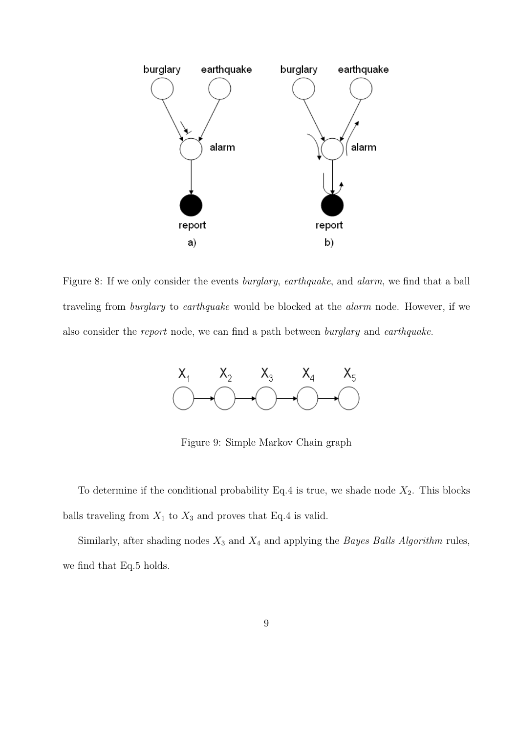

Figure 8: If we only consider the events *burglary*, *earthquake*, and *alarm*, we find that a ball traveling from burglary to earthquake would be blocked at the alarm node. However, if we also consider the report node, we can find a path between burglary and earthquake.



Figure 9: Simple Markov Chain graph

To determine if the conditional probability Eq.4 is true, we shade node  $X_2$ . This blocks balls traveling from  $X_1$  to  $X_3$  and proves that Eq.4 is valid.

Similarly, after shading nodes  $X_3$  and  $X_4$  and applying the *Bayes Balls Algorithm* rules, we find that Eq.5 holds.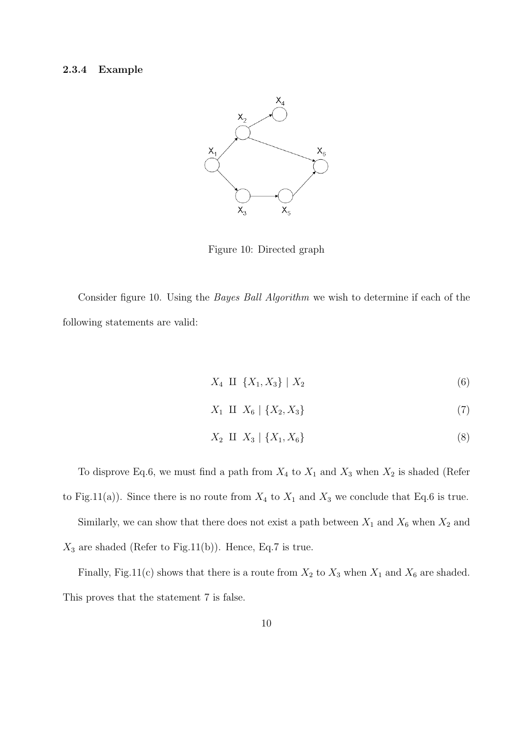#### 2.3.4 Example



Figure 10: Directed graph

Consider figure 10. Using the Bayes Ball Algorithm we wish to determine if each of the following statements are valid:

$$
X_4 \amalg \{X_1, X_3\} \mid X_2 \tag{6}
$$

$$
X_1 \amalg X_6 \mid \{X_2, X_3\} \tag{7}
$$

$$
X_2 \amalg X_3 \mid \{X_1, X_6\} \tag{8}
$$

To disprove Eq.6, we must find a path from  $X_4$  to  $X_1$  and  $X_3$  when  $X_2$  is shaded (Refer to Fig.11(a)). Since there is no route from  $X_4$  to  $X_1$  and  $X_3$  we conclude that Eq.6 is true. Similarly, we can show that there does not exist a path between  $X_1$  and  $X_6$  when  $X_2$  and  $X_3$  are shaded (Refer to Fig.11(b)). Hence, Eq.7 is true.

Finally, Fig.11(c) shows that there is a route from  $X_2$  to  $X_3$  when  $X_1$  and  $X_6$  are shaded. This proves that the statement 7 is false.